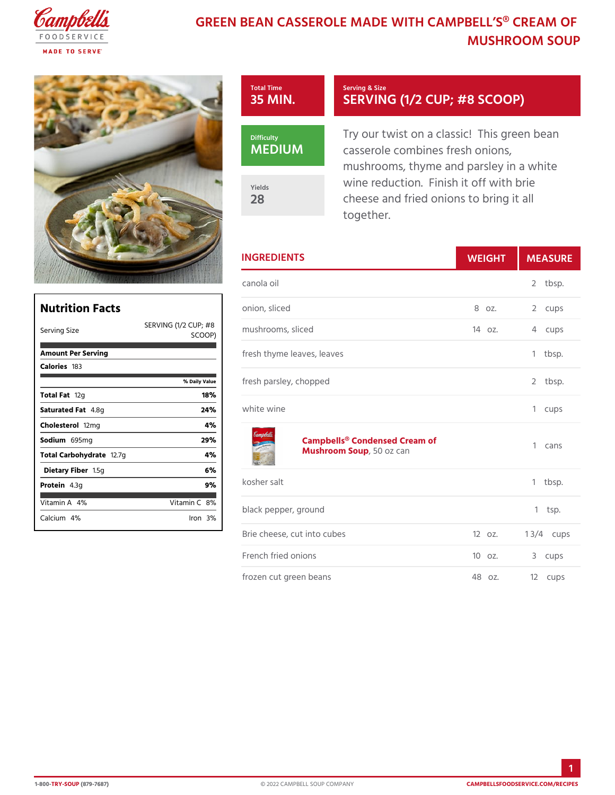## GREEN BEAN CASSEROLE MADE WITH CAM **MUSHROOM SO**



|                                    | <b>INGREDIENTS</b>                                   | WEIGH    | MEASU          |
|------------------------------------|------------------------------------------------------|----------|----------------|
|                                    | canola oil                                           |          | 2 tbsp.        |
|                                    | onion, sliced                                        |          | 8 oz. 2 cups   |
| $SCO$ $QP$ )                       | ING (1/2 CUP; #8 hrooms, sliced                      | $140z$ . | 4 cups         |
|                                    | fresh thyme leaves, leaves                           |          | 1 tbsp.        |
| % Daily Value<br>18%               | fresh parsley, chopped                               |          | 2 tbsp.        |
| 24%                                | white wine                                           |          | 1 cups         |
| 4 %<br>29%<br>4 %                  | Campbells® Condensed Cream of<br>Mushroom S50poz can |          | 1 cans         |
| 6 %<br>9%                          | kosher salt                                          |          | 1 tbsp.        |
| /itamin8 <b>%</b><br>$l$ ron $3$ % | black pepper, ground                                 |          | $1$ tsp.       |
|                                    | Brie cheese, cut into cubes                          | $120z$ . | 1 $3/4c$ ups   |
|                                    | French fried onions                                  | 10 oz.   | 3 cups         |
|                                    | frozen cut green beans                               |          | 48 oz. 12 cups |

| Nutrition Facts                                                                                                                                                                                                                                                                                                                                                                     | onio |
|-------------------------------------------------------------------------------------------------------------------------------------------------------------------------------------------------------------------------------------------------------------------------------------------------------------------------------------------------------------------------------------|------|
| SERVING $(1/2   CUP_{m} + 8   CUP_{m} + 8   CUP_{m} + 8   CUP_{m} + 8   CUP_{m} + 8   CUP_{m} + 8   CUP_{m} + 8   CUP_{m} + 8   CUP_{m} + 8   CUP_{m} + 8   CUP_{m} + 8   CUP_{m} + 8   CUP_{m} + 8   CUP_{m} + 8   CUP_{m} + 8   CUP_{m} + 8   CUP_{m} + 8   CUP_{m} + 8   CUP_{m} + 8   CUP_{m} + 8   CUP_{m} + 8   CUP_{m} + 8   CUP_{m} + 8  $<br>Serving Size<br>$SCO$ O $P$ ) |      |
| Amount Per Serving                                                                                                                                                                                                                                                                                                                                                                  | fres |
| Caloriel \$3<br>% Daily Vallue                                                                                                                                                                                                                                                                                                                                                      | fres |
| Total Falq<br>18%<br>24%<br>Saturated 4F.&mg                                                                                                                                                                                                                                                                                                                                        | whit |
| 4 %<br>Choleste fo2 lm g                                                                                                                                                                                                                                                                                                                                                            |      |
| 29%<br>Sodium 695 mg                                                                                                                                                                                                                                                                                                                                                                |      |
| 4 %<br>Total Carbohy~d2a7e                                                                                                                                                                                                                                                                                                                                                          |      |
| 6%<br>Dietary F1ib5egn                                                                                                                                                                                                                                                                                                                                                              |      |
| 9%<br>Protei <b>4</b> .3g                                                                                                                                                                                                                                                                                                                                                           | kosł |
| Vitamin4A6<br>Vitamin8 <b>%</b>                                                                                                                                                                                                                                                                                                                                                     | blac |
| Calciu4m%<br>$l$ ron $3$ $\%$                                                                                                                                                                                                                                                                                                                                                       |      |
|                                                                                                                                                                                                                                                                                                                                                                                     | Rri≙ |

Г